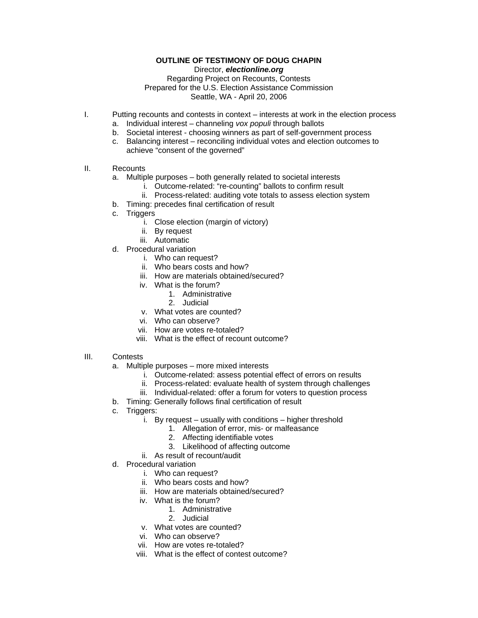## **OUTLINE OF TESTIMONY OF DOUG CHAPIN**

Director, *electionline.org* 

## Regarding Project on Recounts, Contests Prepared for the U.S. Election Assistance Commission Seattle, WA - April 20, 2006

- I. Putting recounts and contests in context interests at work in the election process
	- a. Individual interest channeling *vox populi* through ballots
	- b. Societal interest choosing winners as part of self-government process
	- c. Balancing interest reconciling individual votes and election outcomes to achieve "consent of the governed"
- II. Recounts
	- a. Multiple purposes both generally related to societal interests
		- i. Outcome-related: "re-counting" ballots to confirm result
		- ii. Process-related: auditing vote totals to assess election system
	- b. Timing: precedes final certification of result
	- c. Triggers
		- i. Close election (margin of victory)
		- ii. By request
		- iii. Automatic
	- d. Procedural variation
		- i. Who can request?
		- ii. Who bears costs and how?
		- iii. How are materials obtained/secured?
		- iv. What is the forum?
			- 1. Administrative
			- 2. Judicial
		- v. What votes are counted?
		- vi. Who can observe?
		- vii. How are votes re-totaled?
		- viii. What is the effect of recount outcome?
- III. Contests
	- a. Multiple purposes more mixed interests
		- i. Outcome-related: assess potential effect of errors on results
		- ii. Process-related: evaluate health of system through challenges
		- iii. Individual-related: offer a forum for voters to question process
	- b. Timing: Generally follows final certification of result
	- c. Triggers:
		- i. By request usually with conditions higher threshold
			- 1. Allegation of error, mis- or malfeasance
			- 2. Affecting identifiable votes
			- 3. Likelihood of affecting outcome
		- ii. As result of recount/audit
	- d. Procedural variation
		- i. Who can request?
		- ii. Who bears costs and how?
		- iii. How are materials obtained/secured?
		- iv. What is the forum?
			- 1. Administrative
			- 2. Judicial
		- v. What votes are counted?
		- vi. Who can observe?
		- vii. How are votes re-totaled?
		- viii. What is the effect of contest outcome?